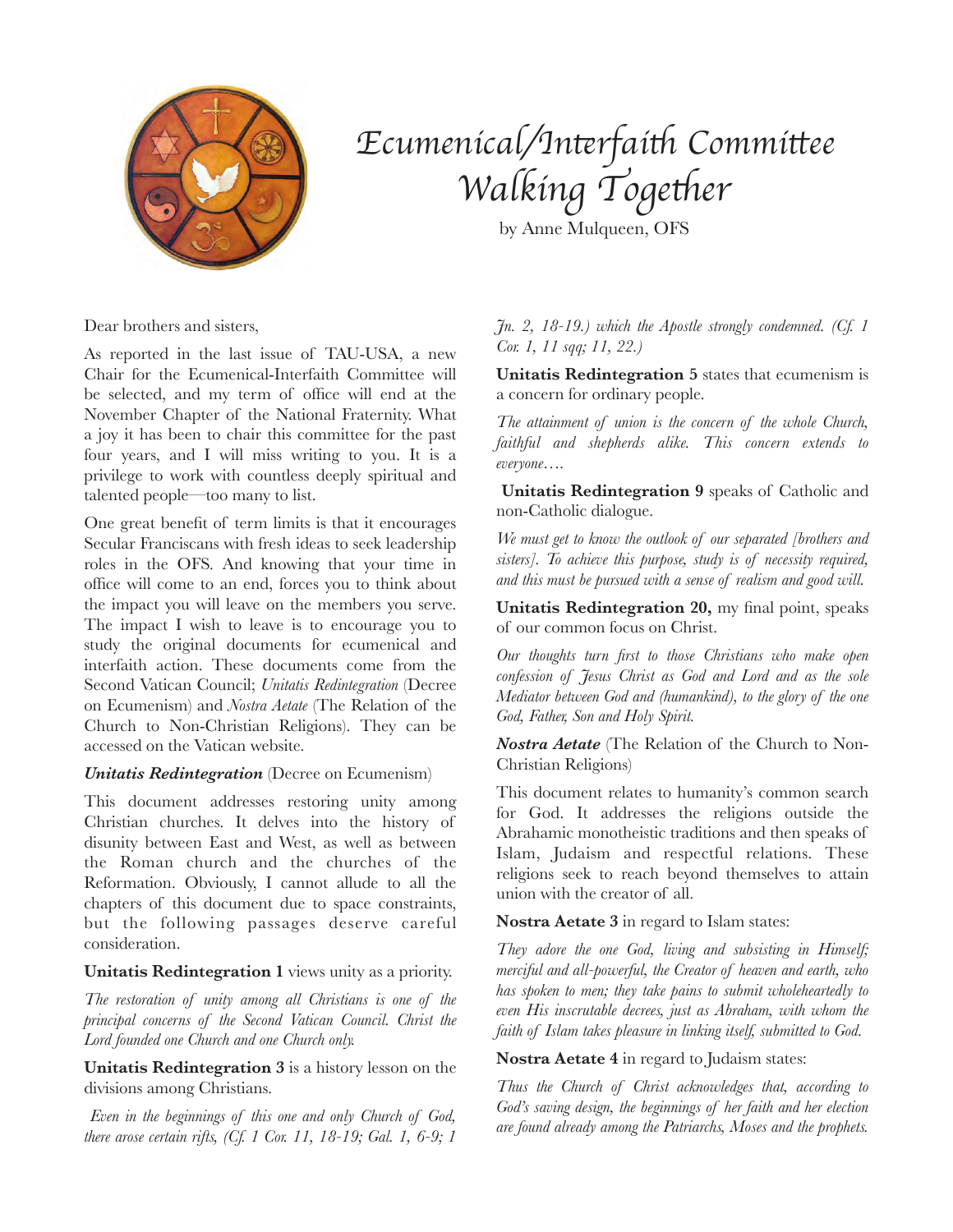

# *Ecumenical/In*t*rfai*t *Commi*t*ee*  $W$ alking Together

by Anne Mulqueen, OFS

Dear brothers and sisters,

As reported in the last issue of TAU-USA, a new Chair for the Ecumenical-Interfaith Committee will be selected, and my term of office will end at the November Chapter of the National Fraternity. What a joy it has been to chair this committee for the past four years, and I will miss writing to you. It is a privilege to work with countless deeply spiritual and talented people—too many to list.

One great benefit of term limits is that it encourages Secular Franciscans with fresh ideas to seek leadership roles in the OFS. And knowing that your time in office will come to an end, forces you to think about the impact you will leave on the members you serve. The impact I wish to leave is to encourage you to study the original documents for ecumenical and interfaith action. These documents come from the Second Vatican Council; *Unitatis Redintegration* (Decree on Ecumenism) and *Nostra Aetate* (The Relation of the Church to Non-Christian Religions). They can be accessed on the Vatican website.

### *Unitatis Redintegration* (Decree on Ecumenism)

This document addresses restoring unity among Christian churches. It delves into the history of disunity between East and West, as well as between the Roman church and the churches of the Reformation. Obviously, I cannot allude to all the chapters of this document due to space constraints, but the following passages deserve careful consideration.

### **Unitatis Redintegration 1** views unity as a priority.

*The restoration of unity among all Christians is one of the principal concerns of the Second Vatican Council. Christ the Lord founded one Church and one Church only.*

**Unitatis Redintegration 3** is a history lesson on the divisions among Christians.

 *Even in the beginnings of this one and only Church of God, there arose certain rifts, (Cf. 1 Cor. 11, 18-19; Gal. 1, 6-9; 1* 

*Jn. 2, 18-19.) which the Apostle strongly condemned. (Cf. 1 Cor. 1, 11 sqq; 11, 22.)* 

**Unitatis Redintegration 5** states that ecumenism is a concern for ordinary people.

*The attainment of union is the concern of the whole Church, faithful and shepherds alike. This concern extends to everyone….* 

**Unitatis Redintegration 9** speaks of Catholic and non-Catholic dialogue.

*We must get to know the outlook of our separated [brothers and sisters]. To achieve this purpose, study is of necessity required, and this must be pursued with a sense of realism and good will.* 

Unitatis Redintegration 20, my final point, speaks of our common focus on Christ.

*Our thoughts turn first to those Christians who make open confession of Jesus Christ as God and Lord and as the sole Mediator between God and (humankind), to the glory of the one God, Father, Son and Holy Spirit.* 

*Nostra Aetate* (The Relation of the Church to Non-Christian Religions)

This document relates to humanity's common search for God. It addresses the religions outside the Abrahamic monotheistic traditions and then speaks of Islam, Judaism and respectful relations. These religions seek to reach beyond themselves to attain union with the creator of all.

**Nostra Aetate 3** in regard to Islam states:

*They adore the one God, living and subsisting in Himself; merciful and all-powerful, the Creator of heaven and earth, who has spoken to men; they take pains to submit wholeheartedly to even His inscrutable decrees, just as Abraham, with whom the faith of Islam takes pleasure in linking itself, submitted to God.*

**Nostra Aetate 4** in regard to Judaism states:

*Thus the Church of Christ acknowledges that, according to God's saving design, the beginnings of her faith and her election are found already among the Patriarchs, Moses and the prophets.*